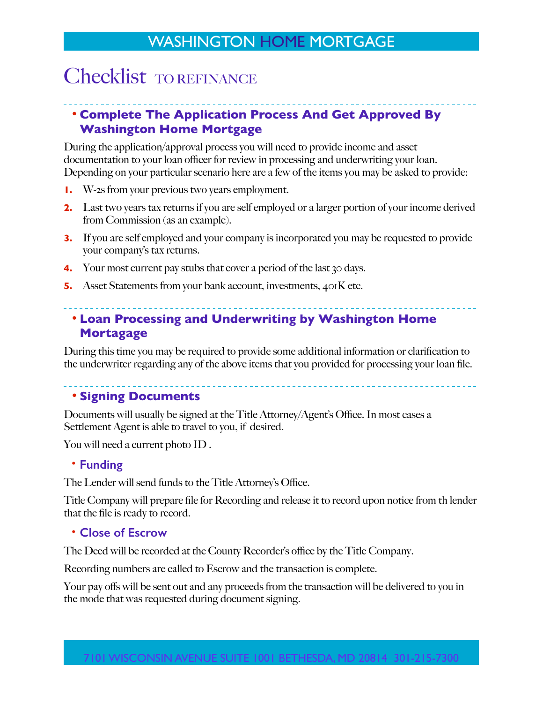## WASHINGTON HOME MORTGAGE

# Checklist TO REFINANCE

## **• Complete The Application Process And Get Approved By Washington Home Mortgage**

During the application/approval process you will need to provide income and asset documentation to your loan officer for review in processing and underwriting your loan. Depending on your particular scenario here are a few of the items you may be asked to provide:

- **1.** W-2s from your previous two years employment.
- **2.** Last two years tax returns if you are self employed or a larger portion of your income derived from Commission (as an example).
- **3.** If you are self employed and your company is incorporated you may be requested to provide your company's tax returns.
- **4.** Your most current pay stubs that cover a period of the last 30 days.
- **5.** Asset Statements from your bank account, investments, 401K etc.

## **• Loan Processing and Underwriting by Washington Home Mortagage**

During this time you may be required to provide some additional information or clarification to the underwriter regarding any of the above items that you provided for processing your loan file.

### **• Signing Documents**

Documents will usually be signed at the Title Attorney/Agent's Office. In most cases a Settlement Agent is able to travel to you, if desired.

You will need a current photo ID .

#### **• Funding**

The Lender will send funds to the Title Attorney's Office.

Title Company will prepare file for Recording and release it to record upon notice from th lender that the file is ready to record.

### **• Close of Escrow**

The Deed will be recorded at the County Recorder's office by the Title Company.

Recording numbers are called to Escrow and the transaction is complete.

Your pay offs will be sent out and any proceeds from the transaction will be delivered to you in the mode that was requested during document signing.